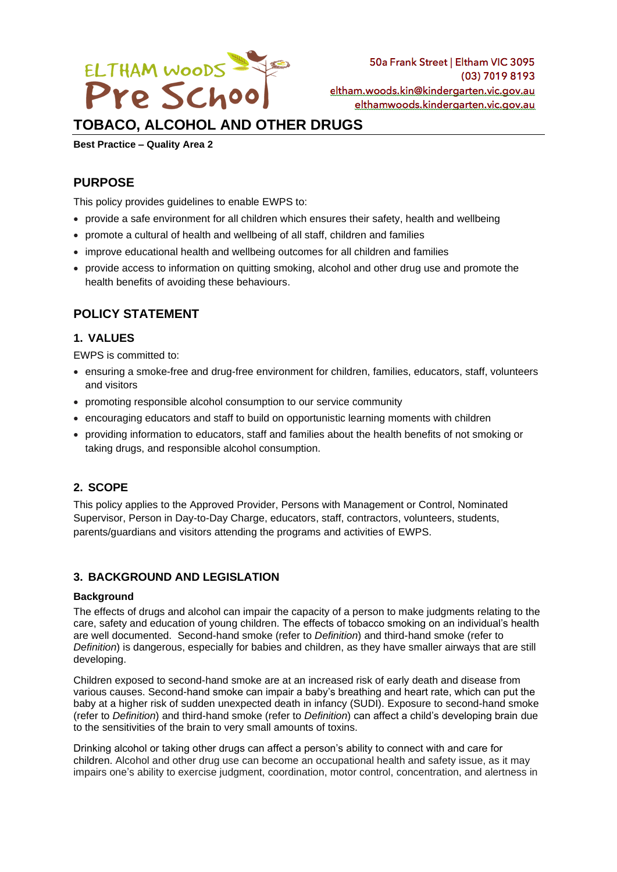

# **TOBACO, ALCOHOL AND OTHER DRUGS**

**Best Practice – Quality Area 2**

## **PURPOSE**

This policy provides guidelines to enable EWPS to:

- provide a safe environment for all children which ensures their safety, health and wellbeing
- promote a cultural of health and wellbeing of all staff, children and families
- improve educational health and wellbeing outcomes for all children and families
- provide access to information on quitting smoking, alcohol and other drug use and promote the health benefits of avoiding these behaviours.

# **POLICY STATEMENT**

### **1. VALUES**

EWPS is committed to:

- ensuring a smoke-free and drug-free environment for children, families, educators, staff, volunteers and visitors
- promoting responsible alcohol consumption to our service community
- encouraging educators and staff to build on opportunistic learning moments with children
- providing information to educators, staff and families about the health benefits of not smoking or taking drugs, and responsible alcohol consumption.

### **2. SCOPE**

This policy applies to the Approved Provider, Persons with Management or Control, Nominated Supervisor, Person in Day-to-Day Charge, educators, staff, contractors, volunteers, students, parents/guardians and visitors attending the programs and activities of EWPS.

### **3. BACKGROUND AND LEGISLATION**

#### **Background**

The effects of drugs and alcohol can impair the capacity of a person to make judgments relating to the care, safety and education of young children. The effects of tobacco smoking on an individual's health are well documented. Second-hand smoke (refer to *Definition*) and third-hand smoke (refer to *Definition*) is dangerous, especially for babies and children, as they have smaller airways that are still developing.

Children exposed to second-hand smoke are at an increased risk of early death and disease from various causes. Second-hand smoke can impair a baby's breathing and heart rate, which can put the baby at a higher risk of sudden unexpected death in infancy (SUDI). Exposure to second-hand smoke (refer to *Definition*) and third-hand smoke (refer to *Definition*) can affect a child's developing brain due to the sensitivities of the brain to very small amounts of toxins.

Drinking alcohol or taking other drugs can affect a person's ability to connect with and care for children. Alcohol and other drug use can become an occupational health and safety issue, as it may impairs one's ability to exercise judgment, coordination, motor control, concentration, and alertness in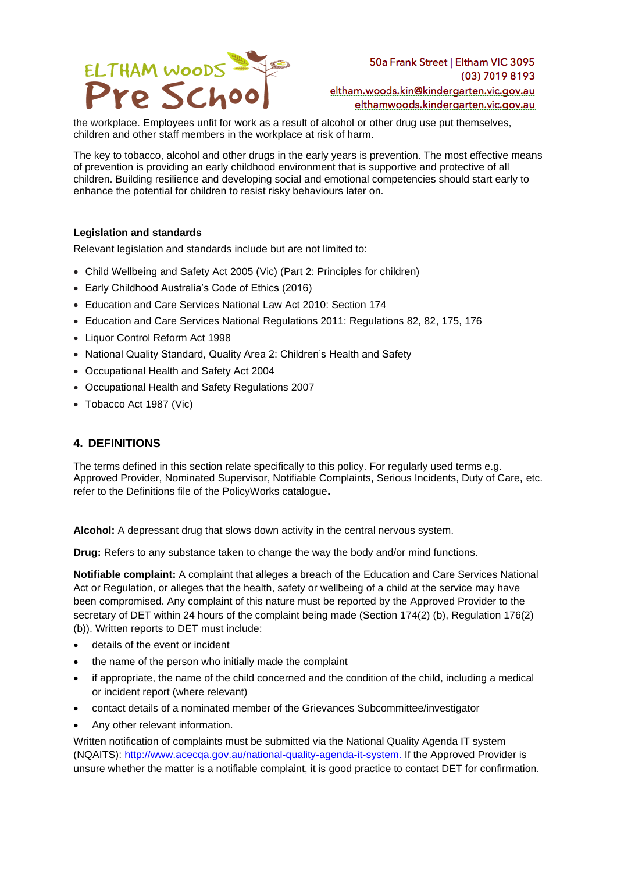

the workplace. Employees unfit for work as a result of alcohol or other drug use put themselves, children and other staff members in the workplace at risk of harm.

The key to tobacco, alcohol and other drugs in the early years is prevention. The most effective means of prevention is providing an early childhood environment that is supportive and protective of all children. Building resilience and developing social and emotional competencies should start early to enhance the potential for children to resist risky behaviours later on.

#### **Legislation and standards**

Relevant legislation and standards include but are not limited to:

- Child Wellbeing and Safety Act 2005 (Vic) (Part 2: Principles for children)
- Early Childhood Australia's Code of Ethics (2016)
- Education and Care Services National Law Act 2010: Section 174
- Education and Care Services National Regulations 2011: Regulations 82, 82, 175, 176
- Liquor Control Reform Act 1998
- National Quality Standard, Quality Area 2: Children's Health and Safety
- Occupational Health and Safety Act 2004
- Occupational Health and Safety Regulations 2007
- Tobacco Act 1987 (Vic)

### **4. DEFINITIONS**

The terms defined in this section relate specifically to this policy. For regularly used terms e.g. Approved Provider, Nominated Supervisor, Notifiable Complaints, Serious Incidents, Duty of Care, etc. refer to the Definitions file of the PolicyWorks catalogue**.**

**Alcohol:** A depressant drug that slows down activity in the central nervous system.

**Drug:** Refers to any substance taken to change the way the body and/or mind functions.

**Notifiable complaint:** A complaint that alleges a breach of the Education and Care Services National Act or Regulation, or alleges that the health, safety or wellbeing of a child at the service may have been compromised. Any complaint of this nature must be reported by the Approved Provider to the secretary of DET within 24 hours of the complaint being made (Section 174(2) (b), Regulation 176(2) (b)). Written reports to DET must include:

- details of the event or incident
- the name of the person who initially made the complaint
- if appropriate, the name of the child concerned and the condition of the child, including a medical or incident report (where relevant)
- contact details of a nominated member of the Grievances Subcommittee/investigator
- Any other relevant information.

Written notification of complaints must be submitted via the National Quality Agenda IT system (NQAITS): [http://www.acecqa.gov.au/national-quality-agenda-it-system.](http://www.acecqa.gov.au/national-quality-agenda-it-system) If the Approved Provider is unsure whether the matter is a notifiable complaint, it is good practice to contact DET for confirmation.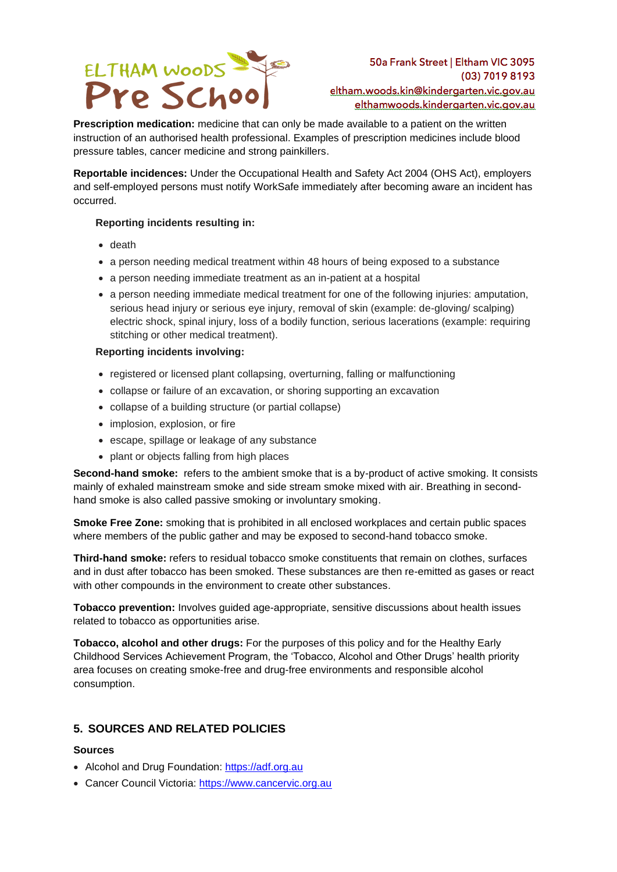

**Prescription medication:** medicine that can only be made available to a patient on the written instruction of an authorised health professional. Examples of prescription medicines include blood pressure tables, cancer medicine and strong painkillers.

**Reportable incidences:** Under the Occupational Health and Safety Act 2004 (OHS Act), employers and self-employed persons must notify WorkSafe immediately after becoming aware an incident has occurred.

#### **Reporting incidents resulting in:**

- death
- a person needing medical treatment within 48 hours of being exposed to a substance
- a person needing immediate treatment as an in-patient at a hospital
- a person needing immediate medical treatment for one of the following injuries: amputation, serious head injury or serious eye injury, removal of skin (example: de-gloving/ scalping) electric shock, spinal injury, loss of a bodily function, serious lacerations (example: requiring stitching or other medical treatment).

#### **Reporting incidents involving:**

- registered or licensed plant collapsing, overturning, falling or malfunctioning
- collapse or failure of an excavation, or shoring supporting an excavation
- collapse of a building structure (or partial collapse)
- implosion, explosion, or fire
- escape, spillage or leakage of any substance
- plant or objects falling from high places

**Second-hand smoke:** refers to the ambient smoke that is a by-product of active smoking. It consists mainly of exhaled mainstream smoke and side stream smoke mixed with air. Breathing in secondhand smoke is also called passive smoking or involuntary smoking.

**Smoke Free Zone:** smoking that is prohibited in all enclosed workplaces and certain public spaces where members of the public gather and may be exposed to second-hand tobacco smoke.

**Third-hand smoke:** refers to residual tobacco smoke constituents that remain on clothes, surfaces and in dust after tobacco has been smoked. These substances are then re-emitted as gases or react with other compounds in the environment to create other substances.

**Tobacco prevention:** Involves guided age-appropriate, sensitive discussions about health issues related to tobacco as opportunities arise.

**Tobacco, alcohol and other drugs:** For the purposes of this policy and for the Healthy Early Childhood Services Achievement Program, the 'Tobacco, Alcohol and Other Drugs' health priority area focuses on creating smoke-free and drug-free environments and responsible alcohol consumption.

### **5. SOURCES AND RELATED POLICIES**

#### **Sources**

- Alcohol and Drug Foundation: [https://adf.org.au](https://adf.org.au/)
- Cancer Council Victoria: [https://www.cancervic.org.au](https://www.cancervic.org.au/)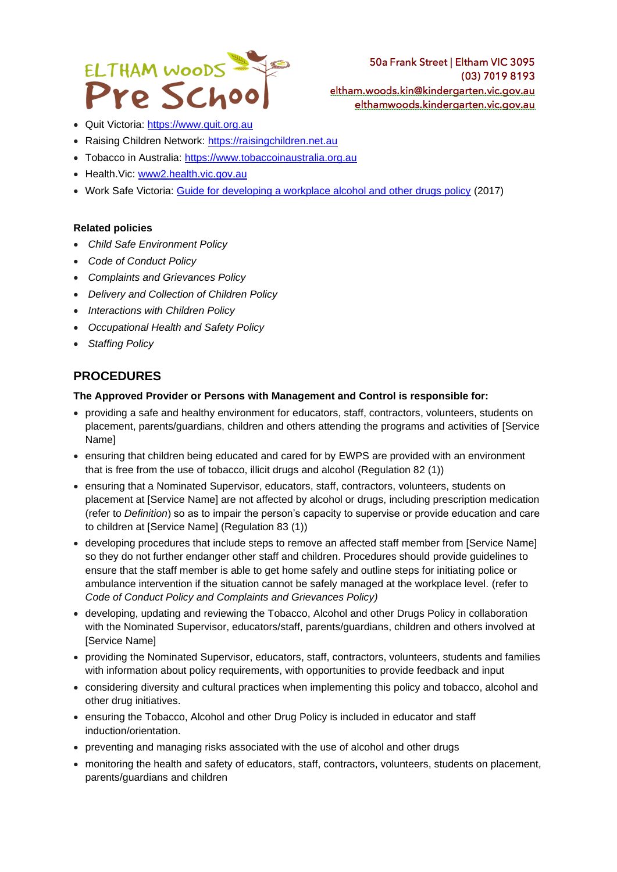

- Quit Victoria: [https://www.quit.org.au](https://www.quit.org.au/)
- Raising Children Network: [https://raisingchildren.net.au](https://raisingchildren.net.au/)
- Tobacco in Australia: [https://www.tobaccoinaustralia.org.au](https://www.tobaccoinaustralia.org.au/)
- Health.Vic: [www2.health.vic.gov.au](https://www2.health.vic.gov.au/)
- Work Safe Victoria: [Guide for developing a workplace alcohol and other drugs policy](https://content.api.worksafe.vic.gov.au/sites/default/files/2018-06/ISBN-Guide-for-developing-workplace-alcohol-drugs-policy-2017-03_0.pdf) (2017)

#### **Related policies**

- *Child Safe Environment Policy*
- *Code of Conduct Policy*
- *Complaints and Grievances Policy*
- *Delivery and Collection of Children Policy*
- *Interactions with Children Policy*
- *Occupational Health and Safety Policy*
- *Staffing Policy*

### **PROCEDURES**

#### **The Approved Provider or Persons with Management and Control is responsible for:**

- providing a safe and healthy environment for educators, staff, contractors, volunteers, students on placement, parents/guardians, children and others attending the programs and activities of [Service Name]
- ensuring that children being educated and cared for by EWPS are provided with an environment that is free from the use of tobacco, illicit drugs and alcohol (Regulation 82 (1))
- ensuring that a Nominated Supervisor, educators, staff, contractors, volunteers, students on placement at [Service Name] are not affected by alcohol or drugs, including prescription medication (refer to *Definition*) so as to impair the person's capacity to supervise or provide education and care to children at [Service Name] (Regulation 83 (1))
- developing procedures that include steps to remove an affected staff member from [Service Name] so they do not further endanger other staff and children. Procedures should provide guidelines to ensure that the staff member is able to get home safely and outline steps for initiating police or ambulance intervention if the situation cannot be safely managed at the workplace level. (refer to *Code of Conduct Policy and Complaints and Grievances Policy)*
- developing, updating and reviewing the Tobacco, Alcohol and other Drugs Policy in collaboration with the Nominated Supervisor, educators/staff, parents/guardians, children and others involved at [Service Name]
- providing the Nominated Supervisor, educators, staff, contractors, volunteers, students and families with information about policy requirements, with opportunities to provide feedback and input
- considering diversity and cultural practices when implementing this policy and tobacco, alcohol and other drug initiatives.
- ensuring the Tobacco, Alcohol and other Drug Policy is included in educator and staff induction/orientation.
- preventing and managing risks associated with the use of alcohol and other drugs
- monitoring the health and safety of educators, staff, contractors, volunteers, students on placement, parents/guardians and children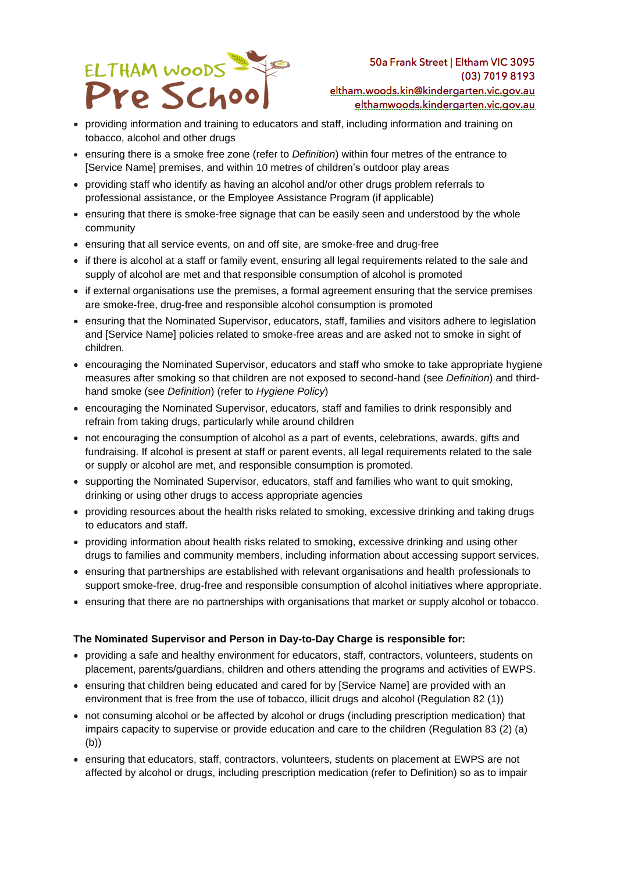

eltham.woods.kin@kindergarten.vic.gov.au elthamwoods.kindergarten.vic.gov.au

- providing information and training to educators and staff, including information and training on tobacco, alcohol and other drugs
- ensuring there is a smoke free zone (refer to *Definition*) within four metres of the entrance to [Service Name] premises, and within 10 metres of children's outdoor play areas
- providing staff who identify as having an alcohol and/or other drugs problem referrals to professional assistance, or the Employee Assistance Program (if applicable)
- ensuring that there is smoke-free signage that can be easily seen and understood by the whole community
- ensuring that all service events, on and off site, are smoke-free and drug-free
- if there is alcohol at a staff or family event, ensuring all legal requirements related to the sale and supply of alcohol are met and that responsible consumption of alcohol is promoted
- if external organisations use the premises, a formal agreement ensuring that the service premises are smoke-free, drug-free and responsible alcohol consumption is promoted
- ensuring that the Nominated Supervisor, educators, staff, families and visitors adhere to legislation and [Service Name] policies related to smoke-free areas and are asked not to smoke in sight of children.
- encouraging the Nominated Supervisor, educators and staff who smoke to take appropriate hygiene measures after smoking so that children are not exposed to second-hand (see *Definition*) and thirdhand smoke (see *Definition*) (refer to *Hygiene Policy*)
- encouraging the Nominated Supervisor, educators, staff and families to drink responsibly and refrain from taking drugs, particularly while around children
- not encouraging the consumption of alcohol as a part of events, celebrations, awards, gifts and fundraising. If alcohol is present at staff or parent events, all legal requirements related to the sale or supply or alcohol are met, and responsible consumption is promoted.
- supporting the Nominated Supervisor, educators, staff and families who want to quit smoking, drinking or using other drugs to access appropriate agencies
- providing resources about the health risks related to smoking, excessive drinking and taking drugs to educators and staff.
- providing information about health risks related to smoking, excessive drinking and using other drugs to families and community members, including information about accessing support services.
- ensuring that partnerships are established with relevant organisations and health professionals to support smoke-free, drug-free and responsible consumption of alcohol initiatives where appropriate.
- ensuring that there are no partnerships with organisations that market or supply alcohol or tobacco.

#### **The Nominated Supervisor and Person in Day-to-Day Charge is responsible for:**

- providing a safe and healthy environment for educators, staff, contractors, volunteers, students on placement, parents/guardians, children and others attending the programs and activities of EWPS.
- ensuring that children being educated and cared for by [Service Name] are provided with an environment that is free from the use of tobacco, illicit drugs and alcohol (Regulation 82 (1))
- not consuming alcohol or be affected by alcohol or drugs (including prescription medication) that impairs capacity to supervise or provide education and care to the children (Regulation 83 (2) (a) (b))
- ensuring that educators, staff, contractors, volunteers, students on placement at EWPS are not affected by alcohol or drugs, including prescription medication (refer to Definition) so as to impair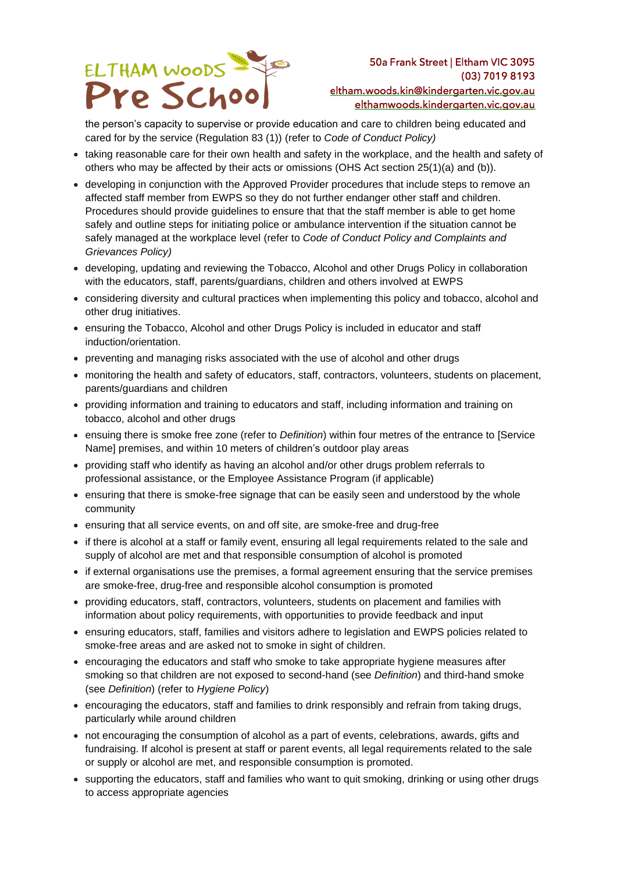

eltham.woods.kin@kindergarten.vic.gov.au elthamwoods.kindergarten.vic.gov.au

the person's capacity to supervise or provide education and care to children being educated and cared for by the service (Regulation 83 (1)) (refer to *Code of Conduct Policy)*

- taking reasonable care for their own health and safety in the workplace, and the health and safety of others who may be affected by their acts or omissions (OHS Act section 25(1)(a) and (b)).
- developing in conjunction with the Approved Provider procedures that include steps to remove an affected staff member from EWPS so they do not further endanger other staff and children. Procedures should provide guidelines to ensure that that the staff member is able to get home safely and outline steps for initiating police or ambulance intervention if the situation cannot be safely managed at the workplace level (refer to *Code of Conduct Policy and Complaints and Grievances Policy)*
- developing, updating and reviewing the Tobacco, Alcohol and other Drugs Policy in collaboration with the educators, staff, parents/guardians, children and others involved at EWPS
- considering diversity and cultural practices when implementing this policy and tobacco, alcohol and other drug initiatives.
- ensuring the Tobacco, Alcohol and other Drugs Policy is included in educator and staff induction/orientation.
- preventing and managing risks associated with the use of alcohol and other drugs
- monitoring the health and safety of educators, staff, contractors, volunteers, students on placement, parents/guardians and children
- providing information and training to educators and staff, including information and training on tobacco, alcohol and other drugs
- ensuing there is smoke free zone (refer to *Definition*) within four metres of the entrance to [Service Name] premises, and within 10 meters of children's outdoor play areas
- providing staff who identify as having an alcohol and/or other drugs problem referrals to professional assistance, or the Employee Assistance Program (if applicable)
- ensuring that there is smoke-free signage that can be easily seen and understood by the whole community
- ensuring that all service events, on and off site, are smoke-free and drug-free
- if there is alcohol at a staff or family event, ensuring all legal requirements related to the sale and supply of alcohol are met and that responsible consumption of alcohol is promoted
- if external organisations use the premises, a formal agreement ensuring that the service premises are smoke-free, drug-free and responsible alcohol consumption is promoted
- providing educators, staff, contractors, volunteers, students on placement and families with information about policy requirements, with opportunities to provide feedback and input
- ensuring educators, staff, families and visitors adhere to legislation and EWPS policies related to smoke-free areas and are asked not to smoke in sight of children.
- encouraging the educators and staff who smoke to take appropriate hygiene measures after smoking so that children are not exposed to second-hand (see *Definition*) and third-hand smoke (see *Definition*) (refer to *Hygiene Policy*)
- encouraging the educators, staff and families to drink responsibly and refrain from taking drugs, particularly while around children
- not encouraging the consumption of alcohol as a part of events, celebrations, awards, gifts and fundraising. If alcohol is present at staff or parent events, all legal requirements related to the sale or supply or alcohol are met, and responsible consumption is promoted.
- supporting the educators, staff and families who want to quit smoking, drinking or using other drugs to access appropriate agencies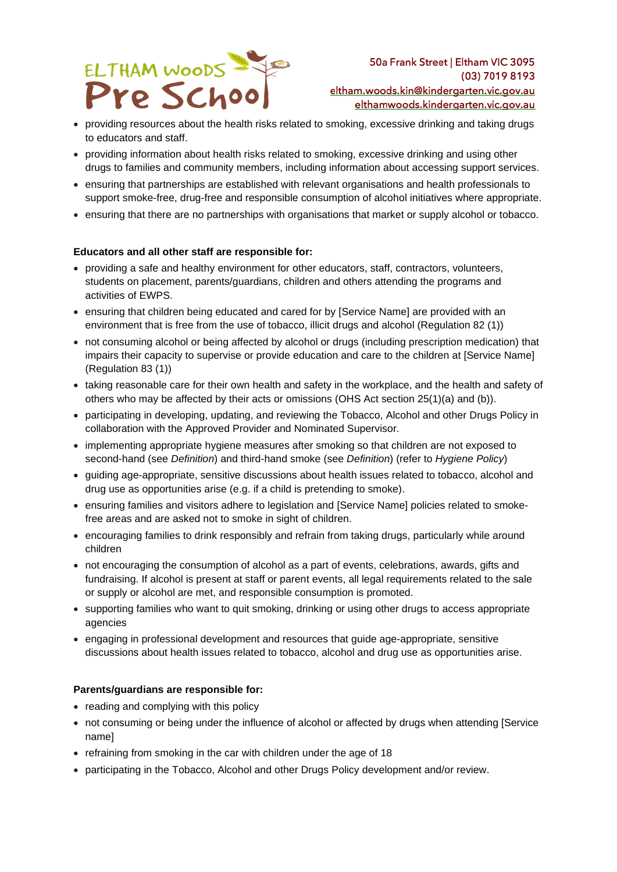

50a Frank Street | Eltham VIC 3095 (03) 7019 8193 eltham.woods.kin@kindergarten.vic.gov.au elthamwoods.kindergarten.vic.gov.au

- providing resources about the health risks related to smoking, excessive drinking and taking drugs to educators and staff.
- providing information about health risks related to smoking, excessive drinking and using other drugs to families and community members, including information about accessing support services.
- ensuring that partnerships are established with relevant organisations and health professionals to support smoke-free, drug-free and responsible consumption of alcohol initiatives where appropriate.
- ensuring that there are no partnerships with organisations that market or supply alcohol or tobacco.

#### **Educators and all other staff are responsible for:**

- providing a safe and healthy environment for other educators, staff, contractors, volunteers, students on placement, parents/guardians, children and others attending the programs and activities of EWPS.
- ensuring that children being educated and cared for by [Service Name] are provided with an environment that is free from the use of tobacco, illicit drugs and alcohol (Regulation 82 (1))
- not consuming alcohol or being affected by alcohol or drugs (including prescription medication) that impairs their capacity to supervise or provide education and care to the children at [Service Name] (Regulation 83 (1))
- taking reasonable care for their own health and safety in the workplace, and the health and safety of others who may be affected by their acts or omissions (OHS Act section 25(1)(a) and (b)).
- participating in developing, updating, and reviewing the Tobacco, Alcohol and other Drugs Policy in collaboration with the Approved Provider and Nominated Supervisor.
- implementing appropriate hygiene measures after smoking so that children are not exposed to second-hand (see *Definition*) and third-hand smoke (see *Definition*) (refer to *Hygiene Policy*)
- guiding age-appropriate, sensitive discussions about health issues related to tobacco, alcohol and drug use as opportunities arise (e.g. if a child is pretending to smoke).
- ensuring families and visitors adhere to legislation and [Service Name] policies related to smokefree areas and are asked not to smoke in sight of children.
- encouraging families to drink responsibly and refrain from taking drugs, particularly while around children
- not encouraging the consumption of alcohol as a part of events, celebrations, awards, gifts and fundraising. If alcohol is present at staff or parent events, all legal requirements related to the sale or supply or alcohol are met, and responsible consumption is promoted.
- supporting families who want to quit smoking, drinking or using other drugs to access appropriate agencies
- engaging in professional development and resources that guide age-appropriate, sensitive discussions about health issues related to tobacco, alcohol and drug use as opportunities arise.

#### **Parents/guardians are responsible for:**

- reading and complying with this policy
- not consuming or being under the influence of alcohol or affected by drugs when attending [Service name]
- refraining from smoking in the car with children under the age of 18
- participating in the Tobacco, Alcohol and other Drugs Policy development and/or review.